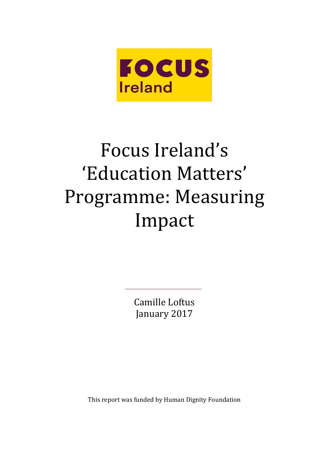

# Focus Ireland's 'Education Matters' Programme: Measuring Impact

Camille Loftus January 2017

This report was funded by Human Dignity Foundation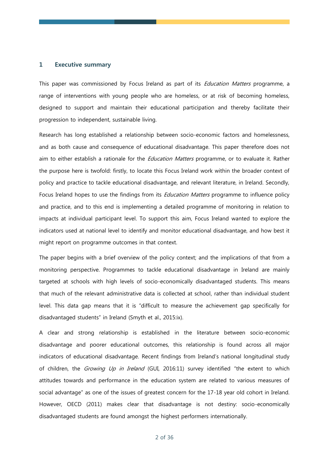# **1 Executive summary**

This paper was commissioned by Focus Ireland as part of its *Education Matters* programme, a range of interventions with young people who are homeless, or at risk of becoming homeless, designed to support and maintain their educational participation and thereby facilitate their progression to independent, sustainable living.

Research has long established a relationship between socio-economic factors and homelessness, and as both cause and consequence of educational disadvantage. This paper therefore does not aim to either establish a rationale for the *Education Matters* programme, or to evaluate it. Rather the purpose here is twofold: firstly, to locate this Focus Ireland work within the broader context of policy and practice to tackle educational disadvantage, and relevant literature, in Ireland. Secondly, Focus Ireland hopes to use the findings from its *Education Matters* programme to influence policy and practice, and to this end is implementing a detailed programme of monitoring in relation to impacts at individual participant level. To support this aim, Focus Ireland wanted to explore the indicators used at national level to identify and monitor educational disadvantage, and how best it might report on programme outcomes in that context.

The paper begins with a brief overview of the policy context; and the implications of that from a monitoring perspective. Programmes to tackle educational disadvantage in Ireland are mainly targeted at schools with high levels of socio-economically disadvantaged students. This means that much of the relevant administrative data is collected at school, rather than individual student level. This data gap means that it is "difficult to measure the achievement gap specifically for disadvantaged students" in Ireland (Smyth et al., 2015:ix).

A clear and strong relationship is established in the literature between socio-economic disadvantage and poorer educational outcomes, this relationship is found across all major indicators of educational disadvantage. Recent findings from Ireland's national longitudinal study of children, the Growing Up in Ireland (GUI, 2016:11) survey identified "the extent to which attitudes towards and performance in the education system are related to various measures of social advantage" as one of the issues of greatest concern for the 17-18 year old cohort in Ireland. However, OECD (2011) makes clear that disadvantage is not destiny: socio-economically disadvantaged students are found amongst the highest performers internationally.

2 of 36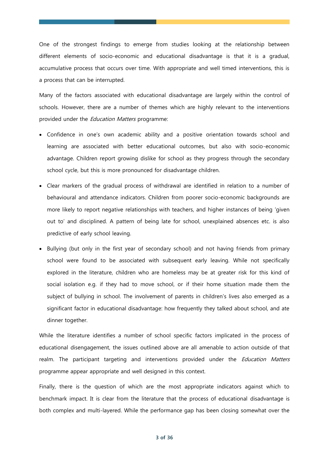One of the strongest findings to emerge from studies looking at the relationship between different elements of socio-economic and educational disadvantage is that it is a gradual, accumulative process that occurs over time. With appropriate and well timed interventions, this is a process that can be interrupted.

Many of the factors associated with educational disadvantage are largely within the control of schools. However, there are a number of themes which are highly relevant to the interventions provided under the *Education Matters* programme:

- Confidence in one's own academic ability and a positive orientation towards school and learning are associated with better educational outcomes, but also with socio-economic advantage. Children report growing dislike for school as they progress through the secondary school cycle, but this is more pronounced for disadvantage children.
- Clear markers of the gradual process of withdrawal are identified in relation to a number of behavioural and attendance indicators. Children from poorer socio-economic backgrounds are more likely to report negative relationships with teachers, and higher instances of being 'given out to' and disciplined. A pattern of being late for school, unexplained absences etc. is also predictive of early school leaving.
- Bullying (but only in the first year of secondary school) and not having friends from primary school were found to be associated with subsequent early leaving. While not specifically explored in the literature, children who are homeless may be at greater risk for this kind of social isolation e.g. if they had to move school, or if their home situation made them the subject of bullying in school. The involvement of parents in children's lives also emerged as a significant factor in educational disadvantage: how frequently they talked about school, and ate dinner together.

While the literature identifies a number of school specific factors implicated in the process of educational disengagement, the issues outlined above are all amenable to action outside of that realm. The participant targeting and interventions provided under the *Education Matters* programme appear appropriate and well designed in this context.

Finally, there is the question of which are the most appropriate indicators against which to benchmark impact. It is clear from the literature that the process of educational disadvantage is both complex and multi-layered. While the performance gap has been closing somewhat over the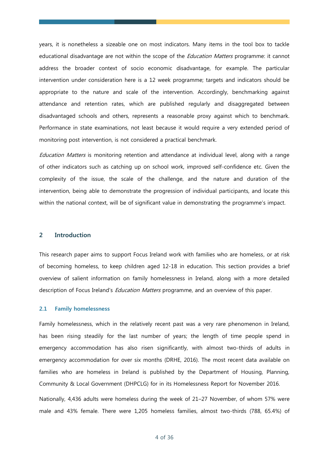years, it is nonetheless a sizeable one on most indicators. Many items in the tool box to tackle educational disadvantage are not within the scope of the *Education Matters* programme: it cannot address the broader context of socio economic disadvantage, for example. The particular intervention under consideration here is a 12 week programme; targets and indicators should be appropriate to the nature and scale of the intervention. Accordingly, benchmarking against attendance and retention rates, which are published regularly and disaggregated between disadvantaged schools and others, represents a reasonable proxy against which to benchmark. Performance in state examinations, not least because it would require a very extended period of monitoring post intervention, is not considered a practical benchmark.

Education Matters is monitoring retention and attendance at individual level, along with a range of other indicators such as catching up on school work, improved self-confidence etc. Given the complexity of the issue, the scale of the challenge, and the nature and duration of the intervention, being able to demonstrate the progression of individual participants, and locate this within the national context, will be of significant value in demonstrating the programme's impact.

# **2 Introduction**

This research paper aims to support Focus Ireland work with families who are homeless, or at risk of becoming homeless, to keep children aged 12-18 in education. This section provides a brief overview of salient information on family homelessness in Ireland, along with a more detailed description of Focus Ireland's *Education Matters* programme, and an overview of this paper.

#### **2.1 Family homelessness**

Family homelessness, which in the relatively recent past was a very rare phenomenon in Ireland, has been rising steadily for the last number of years; the length of time people spend in emergency accommodation has also risen significantly, with almost two-thirds of adults in emergency accommodation for over six months (DRHE, 2016). The most recent data available on families who are homeless in Ireland is published by the Department of Housing, Planning, Community & Local Government (DHPCLG) for in its Homelessness Report for November 2016.

Nationally, 4,436 adults were homeless during the week of 21–27 November, of whom 57% were male and 43% female. There were 1,205 homeless families, almost two-thirds (788, 65.4%) of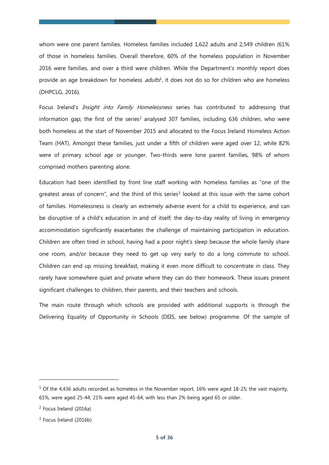whom were one parent families. Homeless families included 1,622 adults and 2,549 children (61% of those in homeless families. Overall therefore, 60% of the homeless population in November 2016 were families, and over a third were children. While the Department's monthly report does provide an age breakdown for homeless *adults*<sup>1</sup>, it does not do so for children who are homeless (DHPCLG, 2016).

Focus Ireland's *Insight into Family Homelessness* series has contributed to addressing that information gap; the first of the series<sup>2</sup> analysed 307 families, including 636 children, who were both homeless at the start of November 2015 and allocated to the Focus Ireland Homeless Action Team (HAT). Amongst these families, just under a fifth of children were aged over 12, while 82% were of primary school age or younger. Two-thirds were lone parent families, 98% of whom comprised mothers parenting alone.

Education had been identified by front line staff working with homeless families as "one of the greatest areas of concern", and the third of this series<sup>3</sup> looked at this issue with the same cohort of families. Homelessness is clearly an extremely adverse event for a child to experience, and can be disruptive of a child's education in and of itself; the day-to-day reality of living in emergency accommodation significantly exacerbates the challenge of maintaining participation in education. Children are often tired in school, having had a poor night's sleep because the whole family share one room, and/or because they need to get up very early to do a long commute to school. Children can end up missing breakfast, making it even more difficult to concentrate in class. They rarely have somewhere quiet and private where they can do their homework. These issues present significant challenges to children, their parents, and their teachers and schools.

The main route through which schools are provided with additional supports is through the Delivering Equality of Opportunity in Schools (DEIS, see below) programme. Of the sample of

 $1$  Of the 4,436 adults recorded as homeless in the November report, 16% were aged 18-25; the vast majority, 61%, were aged 25-44; 21% were aged 45-64, with less than 2% being aged 65 or older.

<sup>&</sup>lt;sup>2</sup> Focus Ireland (2016a)

<sup>&</sup>lt;sup>3</sup> Focus Ireland (2016b)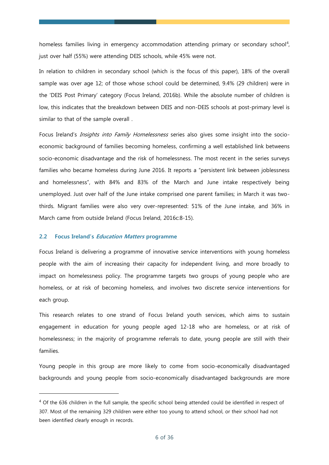homeless families living in emergency accommodation attending primary or secondary school<sup>4</sup>, just over half (55%) were attending DEIS schools, while 45% were not.

In relation to children in secondary school (which is the focus of this paper), 18% of the overall sample was over age 12; of those whose school could be determined, 9.4% (29 children) were in the 'DEIS Post Primary' category (Focus Ireland, 2016b). While the absolute number of children is low, this indicates that the breakdown between DEIS and non-DEIS schools at post-primary level is similar to that of the sample overall .

Focus Ireland's *Insights into Family Homelessness* series also gives some insight into the socioeconomic background of families becoming homeless, confirming a well established link betweens socio-economic disadvantage and the risk of homelessness. The most recent in the series surveys families who became homeless during June 2016. It reports a "persistent link between joblessness and homelessness", with 84% and 83% of the March and June intake respectively being unemployed. Just over half of the June intake comprised one parent families; in March it was twothirds. Migrant families were also very over-represented: 51% of the June intake, and 36% in March came from outside Ireland (Focus Ireland, 2016c:8-15).

#### **2.2 Focus Ireland's Education Matters programme**

-

Focus Ireland is delivering a programme of innovative service interventions with young homeless people with the aim of increasing their capacity for independent living, and more broadly to impact on homelessness policy. The programme targets two groups of young people who are homeless, or at risk of becoming homeless, and involves two discrete service interventions for each group.

This research relates to one strand of Focus Ireland youth services, which aims to sustain engagement in education for young people aged 12-18 who are homeless, or at risk of homelessness; in the majority of programme referrals to date, young people are still with their families.

Young people in this group are more likely to come from socio-economically disadvantaged backgrounds and young people from socio-economically disadvantaged backgrounds are more

<sup>&</sup>lt;sup>4</sup> Of the 636 children in the full sample, the specific school being attended could be identified in respect of 307. Most of the remaining 329 children were either too young to attend school, or their school had not been identified clearly enough in records.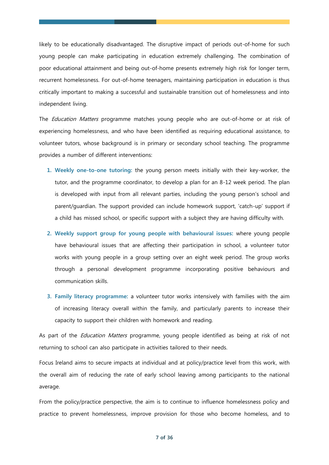likely to be educationally disadvantaged. The disruptive impact of periods out-of-home for such young people can make participating in education extremely challenging. The combination of poor educational attainment and being out-of-home presents extremely high risk for longer term, recurrent homelessness. For out-of-home teenagers, maintaining participation in education is thus critically important to making a successful and sustainable transition out of homelessness and into independent living.

The *Education Matters* programme matches young people who are out-of-home or at risk of experiencing homelessness, and who have been identified as requiring educational assistance, to volunteer tutors, whose background is in primary or secondary school teaching. The programme provides a number of different interventions:

- **1. Weekly one-to-one tutoring:** the young person meets initially with their key-worker, the tutor, and the programme coordinator, to develop a plan for an 8-12 week period. The plan is developed with input from all relevant parties, including the young person's school and parent/guardian. The support provided can include homework support, 'catch-up' support if a child has missed school, or specific support with a subject they are having difficulty with.
- **2. Weekly support group for young people with behavioural issues:** where young people have behavioural issues that are affecting their participation in school, a volunteer tutor works with young people in a group setting over an eight week period. The group works through a personal development programme incorporating positive behaviours and communication skills.
- **3. Family literacy programme:** a volunteer tutor works intensively with families with the aim of increasing literacy overall within the family, and particularly parents to increase their capacity to support their children with homework and reading.

As part of the *Education Matters* programme, young people identified as being at risk of not returning to school can also participate in activities tailored to their needs.

Focus Ireland aims to secure impacts at individual and at policy/practice level from this work, with the overall aim of reducing the rate of early school leaving among participants to the national average.

From the policy/practice perspective, the aim is to continue to influence homelessness policy and practice to prevent homelessness, improve provision for those who become homeless, and to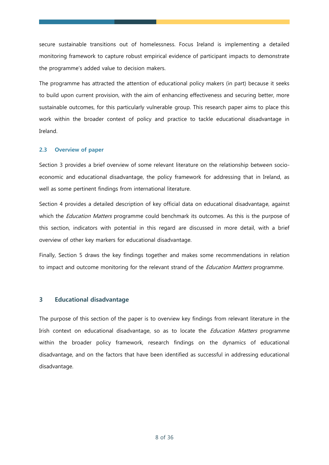secure sustainable transitions out of homelessness. Focus Ireland is implementing a detailed monitoring framework to capture robust empirical evidence of participant impacts to demonstrate the programme's added value to decision makers.

The programme has attracted the attention of educational policy makers (in part) because it seeks to build upon current provision, with the aim of enhancing effectiveness and securing better, more sustainable outcomes, for this particularly vulnerable group. This research paper aims to place this work within the broader context of policy and practice to tackle educational disadvantage in Ireland.

# **2.3 Overview of paper**

Section 3 provides a brief overview of some relevant literature on the relationship between socioeconomic and educational disadvantage, the policy framework for addressing that in Ireland, as well as some pertinent findings from international literature.

Section 4 provides a detailed description of key official data on educational disadvantage, against which the *Education Matters* programme could benchmark its outcomes. As this is the purpose of this section, indicators with potential in this regard are discussed in more detail, with a brief overview of other key markers for educational disadvantage.

Finally, Section 5 draws the key findings together and makes some recommendations in relation to impact and outcome monitoring for the relevant strand of the *Education Matters* programme.

# **3 Educational disadvantage**

The purpose of this section of the paper is to overview key findings from relevant literature in the Irish context on educational disadvantage, so as to locate the *Education Matters* programme within the broader policy framework, research findings on the dynamics of educational disadvantage, and on the factors that have been identified as successful in addressing educational disadvantage.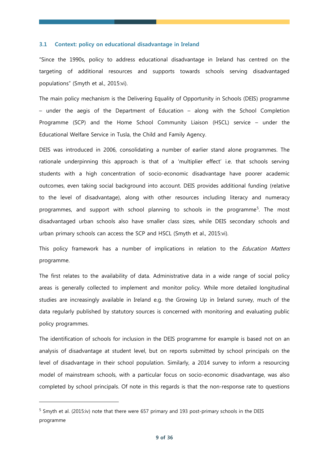#### **3.1 Context: policy on educational disadvantage in Ireland**

"Since the 1990s, policy to address educational disadvantage in Ireland has centred on the targeting of additional resources and supports towards schools serving disadvantaged populations" (Smyth et al., 2015:vi).

The main policy mechanism is the Delivering Equality of Opportunity in Schools (DEIS) programme – under the aegis of the Department of Education – along with the School Completion Programme (SCP) and the Home School Community Liaison (HSCL) service – under the Educational Welfare Service in Tusla, the Child and Family Agency.

DEIS was introduced in 2006, consolidating a number of earlier stand alone programmes. The rationale underpinning this approach is that of a 'multiplier effect' i.e. that schools serving students with a high concentration of socio-economic disadvantage have poorer academic outcomes, even taking social background into account. DEIS provides additional funding (relative to the level of disadvantage), along with other resources including literacy and numeracy programmes, and support with school planning to schools in the programme<sup>5</sup>. The most disadvantaged urban schools also have smaller class sizes, while DEIS secondary schools and urban primary schools can access the SCP and HSCL (Smyth et al., 2015:vi).

This policy framework has a number of implications in relation to the *Education Matters* programme.

The first relates to the availability of data. Administrative data in a wide range of social policy areas is generally collected to implement and monitor policy. While more detailed longitudinal studies are increasingly available in Ireland e.g. the Growing Up in Ireland survey, much of the data regularly published by statutory sources is concerned with monitoring and evaluating public policy programmes.

The identification of schools for inclusion in the DEIS programme for example is based not on an analysis of disadvantage at student level, but on reports submitted by school principals on the level of disadvantage in their school population. Similarly, a 2014 survey to inform a resourcing model of mainstream schools, with a particular focus on socio-economic disadvantage, was also completed by school principals. Of note in this regards is that the non-response rate to questions

<sup>&</sup>lt;sup>5</sup> Smyth et al. (2015:iv) note that there were 657 primary and 193 post-primary schools in the DEIS programme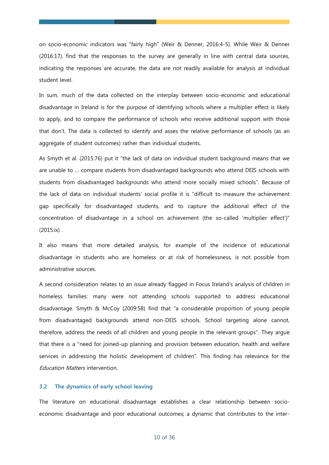on socio-economic indicators was "fairly high" (Weir & Denner, 2016:4-5). While Weir & Denner (2016:17). find that the responses to the survey are generally in line with central data sources, indicating the responses are accurate, the data are not readily available for analysis at individual student level.

In sum, much of the data collected on the interplay between socio-economic and educational disadvantage in Ireland is for the purpose of identifying schools where a multiplier effect is likely to apply, and to compare the performance of schools who receive additional support with those that don't. The data is collected to identify and asses the relative performance of schools (as an aggregate of student outcomes) rather than individual students.

As Smyth et al. (2015:76) put it "the lack of data on individual student background means that we are unable to … compare students from disadvantaged backgrounds who attend DEIS schools with students from disadvantaged backgrounds who attend more socially mixed schools". Because of the lack of data on individual students' social profile it is "difficult to measure the achievement gap specifically for disadvantaged students, and to capture the additional effect of the concentration of disadvantage in a school on achievement (the so-called 'multiplier effect')" (2015:ix) .

It also means that more detailed analysis, for example of the incidence of educational disadvantage in students who are homeless or at risk of homelessness, is not possible from administrative sources.

A second consideration relates to an issue already flagged in Focus Ireland's analysis of children in homeless families: many were not attending schools supported to address educational disadvantage. Smyth & McCoy (2009:58) find that "a considerable proportion of young people from disadvantaged backgrounds attend non-DEIS schools. School targeting alone cannot, therefore, address the needs of all children and young people in the relevant groups". They argue that there is a "need for joined-up planning and provision between education, health and welfare services in addressing the holistic development of children". This finding has relevance for the Education Matters intervention.

### **3.2 The dynamics of early school leaving**

The literature on educational disadvantage establishes a clear relationship between socioeconomic disadvantage and poor educational outcomes; a dynamic that contributes to the inter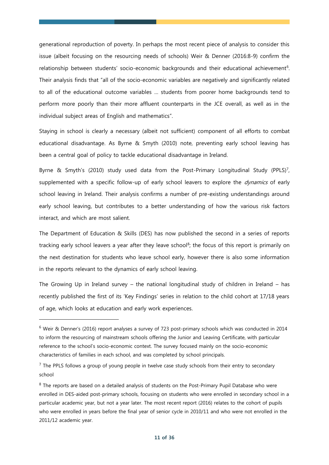generational reproduction of poverty. In perhaps the most recent piece of analysis to consider this issue (albeit focusing on the resourcing needs of schools) Weir & Denner (2016:8-9) confirm the relationship between students' socio-economic backgrounds and their educational achievement<sup>6</sup>. Their analysis finds that "all of the socio-economic variables are negatively and significantly related to all of the educational outcome variables … students from poorer home backgrounds tend to perform more poorly than their more affluent counterparts in the JCE overall, as well as in the individual subject areas of English and mathematics".

Staying in school is clearly a necessary (albeit not sufficient) component of all efforts to combat educational disadvantage. As Byrne & Smyth (2010) note, preventing early school leaving has been a central goal of policy to tackle educational disadvantage in Ireland.

Byrne & Smyth's  $(2010)$  study used data from the Post-Primary Longitudinal Study  $(PPLS)^7$ , supplemented with a specific follow-up of early school leavers to explore the *dynamics* of early school leaving in Ireland. Their analysis confirms a number of pre-existing understandings around early school leaving, but contributes to a better understanding of how the various risk factors interact, and which are most salient.

The Department of Education & Skills (DES) has now published the second in a series of reports tracking early school leavers a year after they leave school<sup>8</sup>; the focus of this report is primarily on the next destination for students who leave school early, however there is also some information in the reports relevant to the dynamics of early school leaving.

The Growing Up in Ireland survey – the national longitudinal study of children in Ireland – has recently published the first of its 'Key Findings' series in relation to the child cohort at 17/18 years of age, which looks at education and early work experiences.

<sup>6</sup> Weir & Denner's (2016) report analyses a survey of 723 post-primary schools which was conducted in 2014 to inform the resourcing of mainstream schools offering the Junior and Leaving Certificate, with particular reference to the school's socio-economic context. The survey focused mainly on the socio-economic characteristics of families in each school, and was completed by school principals.

 $<sup>7</sup>$  The PPLS follows a group of young people in twelve case study schools from their entry to secondary</sup> school

<sup>&</sup>lt;sup>8</sup> The reports are based on a detailed analysis of students on the Post-Primary Pupil Database who were enrolled in DES-aided post-primary schools, focusing on students who were enrolled in secondary school in a particular academic year, but not a year later. The most recent report (2016) relates to the cohort of pupils who were enrolled in years before the final year of senior cycle in 2010/11 and who were not enrolled in the 2011/12 academic year.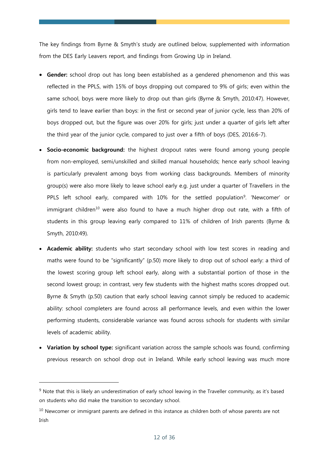The key findings from Byrne & Smyth's study are outlined below, supplemented with information from the DES Early Leavers report, and findings from Growing Up in Ireland.

- **Gender:** school drop out has long been established as a gendered phenomenon and this was reflected in the PPLS, with 15% of boys dropping out compared to 9% of girls; even within the same school, boys were more likely to drop out than girls (Byrne & Smyth, 2010:47). However, girls tend to leave earlier than boys: in the first or second year of junior cycle, less than 20% of boys dropped out, but the figure was over 20% for girls; just under a quarter of girls left after the third year of the junior cycle, compared to just over a fifth of boys (DES, 2016:6-7).
- **Socio-economic background:** the highest dropout rates were found among young people from non-employed, semi/unskilled and skilled manual households; hence early school leaving is particularly prevalent among boys from working class backgrounds. Members of minority group(s) were also more likely to leave school early e.g. just under a quarter of Travellers in the PPLS left school early, compared with 10% for the settled population<sup>9</sup>. 'Newcomer' or immigrant children<sup>10</sup> were also found to have a much higher drop out rate, with a fifth of students in this group leaving early compared to 11% of children of Irish parents (Byrne & Smyth, 2010:49).
- **Academic ability:** students who start secondary school with low test scores in reading and maths were found to be "significantly" (p.50) more likely to drop out of school early: a third of the lowest scoring group left school early, along with a substantial portion of those in the second lowest group; in contrast, very few students with the highest maths scores dropped out. Byrne & Smyth (p.50) caution that early school leaving cannot simply be reduced to academic ability: school completers are found across all performance levels, and even within the lower performing students, considerable variance was found across schools for students with similar levels of academic ability.
- **Variation by school type:** significant variation across the sample schools was found, confirming previous research on school drop out in Ireland. While early school leaving was much more

 $9$  Note that this is likely an underestimation of early school leaving in the Traveller community, as it's based on students who did make the transition to secondary school.

 $10$  Newcomer or immigrant parents are defined in this instance as children both of whose parents are not Irish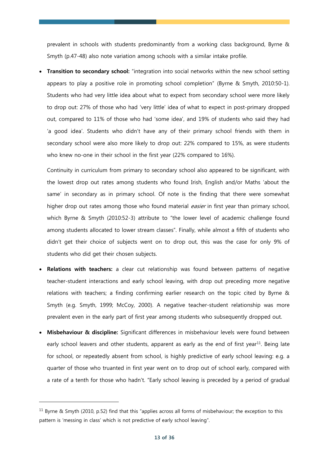prevalent in schools with students predominantly from a working class background, Byrne & Smyth (p.47-48) also note variation among schools with a similar intake profile.

**Transition to secondary school:** "integration into social networks within the new school setting appears to play a positive role in promoting school completion" (Byrne & Smyth, 2010:50-1). Students who had very little idea about what to expect from secondary school were more likely to drop out: 27% of those who had 'very little' idea of what to expect in post-primary dropped out, compared to 11% of those who had 'some idea', and 19% of students who said they had 'a good idea'. Students who didn't have any of their primary school friends with them in secondary school were also more likely to drop out: 22% compared to 15%, as were students who knew no-one in their school in the first year (22% compared to 16%).

Continuity in curriculum from primary to secondary school also appeared to be significant, with the lowest drop out rates among students who found Irish, English and/or Maths 'about the same' in secondary as in primary school. Of note is the finding that there were somewhat higher drop out rates among those who found material *easier* in first year than primary school, which Byrne & Smyth (2010:52-3) attribute to "the lower level of academic challenge found among students allocated to lower stream classes". Finally, while almost a fifth of students who didn't get their choice of subjects went on to drop out, this was the case for only 9% of students who did get their chosen subjects.

- **Relations with teachers:** a clear cut relationship was found between patterns of negative teacher-student interactions and early school leaving, with drop out preceding more negative relations with teachers; a finding confirming earlier research on the topic cited by Byrne & Smyth (e.g. Smyth, 1999; McCoy, 2000). A negative teacher-student relationship was more prevalent even in the early part of first year among students who subsequently dropped out.
- **Misbehaviour & discipline:** Significant differences in misbehaviour levels were found between early school leavers and other students, apparent as early as the end of first year<sup>11</sup>. Being late for school, or repeatedly absent from school, is highly predictive of early school leaving: e.g. a quarter of those who truanted in first year went on to drop out of school early, compared with a rate of a tenth for those who hadn't. "Early school leaving is preceded by a period of gradual

 $11$  Byrne & Smyth (2010, p.52) find that this "applies across all forms of misbehaviour; the exception to this pattern is 'messing in class' which is not predictive of early school leaving".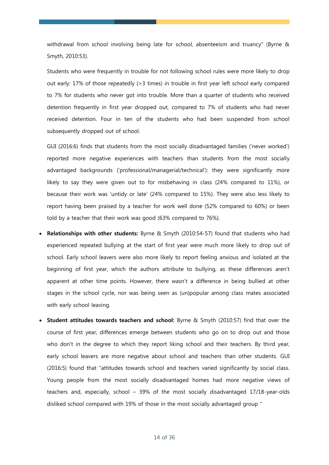withdrawal from school involving being late for school, absenteeism and truancy" (Byrne & Smyth, 2010:53).

Students who were frequently in trouble for not following school rules were more likely to drop out early: 17% of those repeatedly (>3 times) in trouble in first year left school early compared to 7% for students who never got into trouble. More than a quarter of students who received detention frequently in first year dropped out, compared to 7% of students who had never received detention. Four in ten of the students who had been suspended from school subsequently dropped out of school.

GUI (2016:6) finds that students from the most socially disadvantaged families ('never worked') reported more negative experiences with teachers than students from the most socially advantaged backgrounds ('professional/managerial/technical'): they were significantly more likely to say they were given out to for misbehaving in class (24% compared to 11%), or because their work was 'untidy or late' (24% compared to 15%). They were also less likely to report having been praised by a teacher for work well done (52% compared to 60%) or been told by a teacher that their work was good (63% compared to 76%).

- **Relationships with other students:** Byrne & Smyth (2010:54-57) found that students who had experienced repeated bullying at the start of first year were much more likely to drop out of school. Early school leavers were also more likely to report feeling anxious and isolated at the beginning of first year, which the authors attribute to bullying, as these differences aren't apparent at other time points. However, there wasn't a difference in being bullied at other stages in the school cycle, nor was being seen as (un)popular among class mates associated with early school leaving.
- **Student attitudes towards teachers and school:** Byrne & Smyth (2010:57) find that over the course of first year, differences emerge between students who go on to drop out and those who don't in the degree to which they report liking school and their teachers. By third year, early school leavers are more negative about school and teachers than other students. GUI (2016:5) found that "attitudes towards school and teachers varied significantly by social class. Young people from the most socially disadvantaged homes had more negative views of teachers and, especially, school – 39% of the most socially disadvantaged 17/18-year-olds disliked school compared with 19% of those in the most socially advantaged group "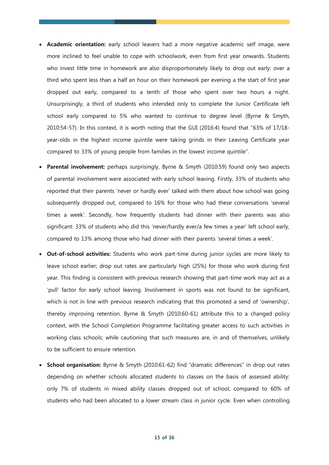- **Academic orientation:** early school leavers had a more negative academic self image, were more inclined to feel unable to cope with schoolwork, even from first year onwards. Students who invest little time in homework are also disproportionately likely to drop out early: over a third who spent less than a half an hour on their homework per evening a the start of first year dropped out early, compared to a tenth of those who spent over two hours a night. Unsurprisingly, a third of students who intended only to complete the Junior Certificate left school early compared to 5% who wanted to continue to degree level (Byrne & Smyth, 2010:54-57). In this context, it is worth noting that the GUI (2016:4) found that "63% of 17/18 year-olds in the highest income quintile were taking grinds in their Leaving Certificate year compared to 33% of young people from families in the lowest income quintile".
- **Parental involvement:** perhaps surprisingly, Byrne & Smyth (2010:59) found only two aspects of parental involvement were associated with early school leaving. Firstly, 33% of students who reported that their parents 'never or hardly ever' talked with them about how school was going subsequently dropped out, compared to 16% for those who had these conversations 'several times a week'. Secondly, how frequently students had dinner with their parents was also significant: 33% of students who did this 'never/hardly ever/a few times a year' left school early, compared to 13% among those who had dinner with their parents 'several times a week'.
- **Out-of-school activities:** Students who work part-time during junior cycles are more likely to leave school earlier; drop out rates are particularly high (25%) for those who work during first year. This finding is consistent with previous research showing that part-time work may act as a 'pull' factor for early school leaving. Involvement in sports was not found to be significant, which is not in line with previous research indicating that this promoted a send of 'ownership', thereby improving retention. Byrne & Smyth (2010:60-61) attribute this to a changed policy context, with the School Completion Programme facilitating greater access to such activities in working class schools; while cautioning that such measures are, in and of themselves, unlikely to be sufficient to ensure retention.
- **School organisation:** Byrne & Smyth (2010:61-62) find "dramatic differences" in drop out rates depending on whether schools allocated students to classes on the basis of assessed ability: only 7% of students in mixed ability classes dropped out of school, compared to 60% of students who had been allocated to a lower stream class in junior cycle. Even when controlling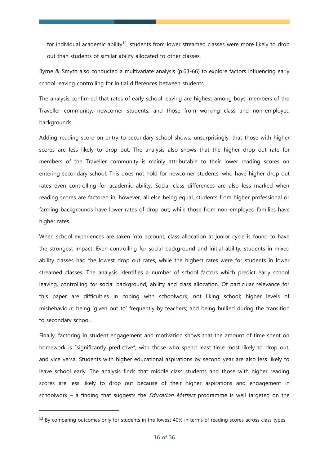for individual academic ability<sup>12</sup>, students from lower streamed classes were more likely to drop out than students of similar ability allocated to other classes.

Byrne & Smyth also conducted a multivariate analysis (p.63-66) to explore factors influencing early school leaving controlling for initial differences between students.

The analysis confirmed that rates of early school leaving are highest among boys, members of the Traveller community, newcomer students, and those from working class and non-employed backgrounds.

Adding reading score on entry to secondary school shows, unsurprisingly, that those with higher scores are less likely to drop out. The analysis also shows that the higher drop out rate for members of the Traveller community is mainly attributable to their lower reading scores on entering secondary school. This does not hold for newcomer students, who have higher drop out rates even controlling for academic ability. Social class differences are also less marked when reading scores are factored in, however, all else being equal, students from higher professional or farming backgrounds have lower rates of drop out, while those from non-employed families have higher rates.

When school experiences are taken into account, class allocation at junior cycle is found to have the strongest impact. Even controlling for social background and initial ability, students in mixed ability classes had the lowest drop out rates, while the highest rates were for students in lower streamed classes. The analysis identifies a number of school factors which predict early school leaving, controlling for social background, ability and class allocation. Of particular relevance for this paper are difficulties in coping with schoolwork; not liking school; higher levels of misbehaviour; being 'given out to' frequently by teachers; and being bullied during the transition to secondary school.

Finally, factoring in student engagement and motivation shows that the amount of time spent on homework is "significantly predictive", with those who spend least time most likely to drop out, and vice versa. Students with higher educational aspirations by second year are also less likely to leave school early. The analysis finds that middle class students and those with higher reading scores are less likely to drop out because of their higher aspirations and engagement in schoolwork – a finding that suggests the *Education Matters* programme is well targeted on the

 $12$  By comparing outcomes only for students in the lowest 40% in terms of reading scores across class types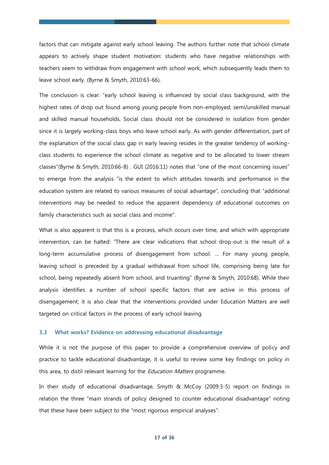factors that can mitigate against early school leaving. The authors further note that school climate appears to actively shape student motivation: students who have negative relationships with teachers seem to withdraw from engagement with school work, which subsequently leads them to leave school early. (Byrne & Smyth, 2010:63-66).

The conclusion is clear: "early school leaving is influenced by social class background, with the highest rates of drop out found among young people from non-employed, semi/unskilled manual and skilled manual households. Social class should not be considered in isolation from gender since it is largely working-class boys who leave school early. As with gender differentiation, part of the explanation of the social class gap in early leaving resides in the greater tendency of workingclass students to experience the school climate as negative and to be allocated to lower stream classes"(Byrne & Smyth, 2010:66-8) . GUI (2016:11) notes that "one of the most concerning issues" to emerge from the analysis "is the extent to which attitudes towards and performance in the education system are related to various measures of social advantage", concluding that "additional interventions may be needed to reduce the apparent dependency of educational outcomes on family characteristics such as social class and income".

What is also apparent is that this is a process, which occurs over time, and which with appropriate intervention, can be halted: "There are clear indications that school drop-out is the result of a long-term accumulative process of disengagement from school. … For many young people, leaving school is preceded by a gradual withdrawal from school life, comprising being late for school, being repeatedly absent from school, and truanting" (Byrne & Smyth, 2010:68). While their analysis identifies a number of school specific factors that are active in this process of disengagement; it is also clear that the interventions provided under Education Matters are well targeted on critical factors in the process of early school leaving.

### **3.3 What works? Evidence on addressing educational disadvantage**

While it is not the purpose of this paper to provide a comprehensive overview of policy and practice to tackle educational disadvantage, it is useful to review some key findings on policy in this area, to distil relevant learning for the *Education Matters* programme.

In their study of educational disadvantage, Smyth & McCoy (2009:3-5) report on findings in relation the three "main strands of policy designed to counter educational disadvantage" noting that these have been subject to the "most rigorous empirical analyses":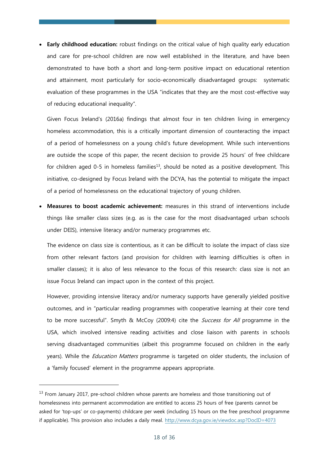**Early childhood education:** robust findings on the critical value of high quality early education and care for pre-school children are now well established in the literature, and have been demonstrated to have both a short and long-term positive impact on educational retention and attainment, most particularly for socio-economically disadvantaged groups: systematic evaluation of these programmes in the USA "indicates that they are the most cost-effective way of reducing educational inequality".

Given Focus Ireland's (2016a) findings that almost four in ten children living in emergency homeless accommodation, this is a critically important dimension of counteracting the impact of a period of homelessness on a young child's future development. While such interventions are outside the scope of this paper, the recent decision to provide 25 hours' of free childcare for children aged 0-5 in homeless families<sup>13</sup>, should be noted as a positive development. This initiative, co-designed by Focus Ireland with the DCYA, has the potential to mitigate the impact of a period of homelessness on the educational trajectory of young children.

 **Measures to boost academic achievement:** measures in this strand of interventions include things like smaller class sizes (e.g. as is the case for the most disadvantaged urban schools under DEIS), intensive literacy and/or numeracy programmes etc.

The evidence on class size is contentious, as it can be difficult to isolate the impact of class size from other relevant factors (and provision for children with learning difficulties is often in smaller classes); it is also of less relevance to the focus of this research: class size is not an issue Focus Ireland can impact upon in the context of this project.

However, providing intensive literacy and/or numeracy supports have generally yielded positive outcomes, and in "particular reading programmes with cooperative learning at their core tend to be more successful". Smyth & McCoy (2009:4) cite the *Success for All* programme in the USA, which involved intensive reading activities and close liaison with parents in schools serving disadvantaged communities (albeit this programme focused on children in the early years). While the *Education Matters* programme is targeted on older students, the inclusion of a 'family focused' element in the programme appears appropriate.

<sup>&</sup>lt;sup>13</sup> From January 2017, pre-school children whose parents are homeless and those transitioning out of homelessness into permanent accommodation are entitled to access 25 hours of free (parents cannot be asked for 'top-ups' or co-payments) childcare per week (including 15 hours on the free preschool programme if applicable). This provision also includes a daily meal.<http://www.dcya.gov.ie/viewdoc.asp?DocID=4073>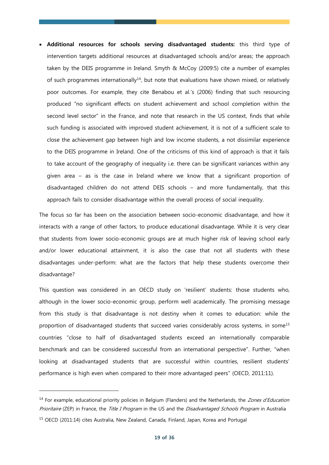**Additional resources for schools serving disadvantaged students:** this third type of intervention targets additional resources at disadvantaged schools and/or areas; the approach taken by the DEIS programme in Ireland. Smyth & McCoy (2009:5) cite a number of examples of such programmes internationally<sup>14</sup>, but note that evaluations have shown mixed, or relatively poor outcomes. For example, they cite Benabou et al.'s (2006) finding that such resourcing produced "no significant effects on student achievement and school completion within the second level sector" in the France, and note that research in the US context, finds that while such funding is associated with improved student achievement, it is not of a sufficient scale to close the achievement gap between high and low income students, a not dissimilar experience to the DEIS programme in Ireland. One of the criticisms of this kind of approach is that it fails to take account of the geography of inequality i.e. there can be significant variances within any given area – as is the case in Ireland where we know that a significant proportion of disadvantaged children do not attend DEIS schools – and more fundamentally, that this approach fails to consider disadvantage within the overall process of social inequality.

The focus so far has been on the association between socio-economic disadvantage, and how it interacts with a range of other factors, to produce educational disadvantage. While it is very clear that students from lower socio-economic groups are at much higher risk of leaving school early and/or lower educational attainment, it is also the case that not all students with these disadvantages under-perform: what are the factors that help these students overcome their disadvantage?

This question was considered in an OECD study on 'resilient' students: those students who, although in the lower socio-economic group, perform well academically. The promising message from this study is that disadvantage is not destiny when it comes to education: while the proportion of disadvantaged students that succeed varies considerably across systems, in some<sup>15</sup> countries "close to half of disadvantaged students exceed an internationally comparable benchmark and can be considered successful from an international perspective". Further, "when looking at disadvantaged students that are successful within countries, resilient students' performance is high even when compared to their more advantaged peers" (OECD, 2011:11).

<sup>&</sup>lt;sup>14</sup> For example, educational priority policies in Belgium (Flanders) and the Netherlands, the Zones d'Education Prioritaire (ZEP) in France, the Title I Program in the US and the Disadvantaged Schools Program in Australia <sup>15</sup> OECD (2011:14) cites Australia, New Zealand, Canada, Finland, Japan, Korea and Portugal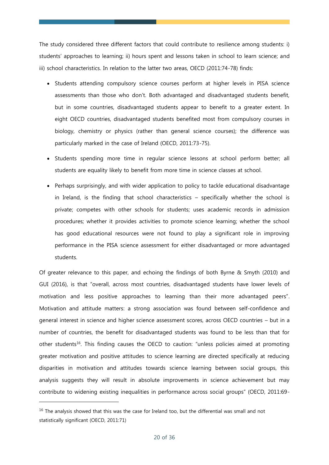The study considered three different factors that could contribute to resilience among students: i) students' approaches to learning; ii) hours spent and lessons taken in school to learn science; and iii) school characteristics. In relation to the latter two areas, OECD (2011:74-78) finds:

- Students attending compulsory science courses perform at higher levels in PISA science assessments than those who don't. Both advantaged and disadvantaged students benefit, but in some countries, disadvantaged students appear to benefit to a greater extent. In eight OECD countries, disadvantaged students benefited most from compulsory courses in biology, chemistry or physics (rather than general science courses); the difference was particularly marked in the case of Ireland (OECD, 2011:73-75).
- Students spending more time in regular science lessons at school perform better; all students are equality likely to benefit from more time in science classes at school.
- Perhaps surprisingly, and with wider application to policy to tackle educational disadvantage in Ireland, is the finding that school characteristics – specifically whether the school is private; competes with other schools for students; uses academic records in admission procedures; whether it provides activities to promote science learning; whether the school has good educational resources were not found to play a significant role in improving performance in the PISA science assessment for either disadvantaged or more advantaged students.

Of greater relevance to this paper, and echoing the findings of both Byrne & Smyth (2010) and GUI (2016), is that "overall, across most countries, disadvantaged students have lower levels of motivation and less positive approaches to learning than their more advantaged peers". Motivation and attitude matters: a strong association was found between self-confidence and general interest in science and higher science assessment scores, across OECD countries – but in a number of countries, the benefit for disadvantaged students was found to be less than that for other students<sup>16</sup>. This finding causes the OECD to caution: "unless policies aimed at promoting greater motivation and positive attitudes to science learning are directed specifically at reducing disparities in motivation and attitudes towards science learning between social groups, this analysis suggests they will result in absolute improvements in science achievement but may contribute to widening existing inequalities in performance across social groups" (OECD, 2011:69-

 $16$  The analysis showed that this was the case for Ireland too, but the differential was small and not statistically significant (OECD, 2011:71)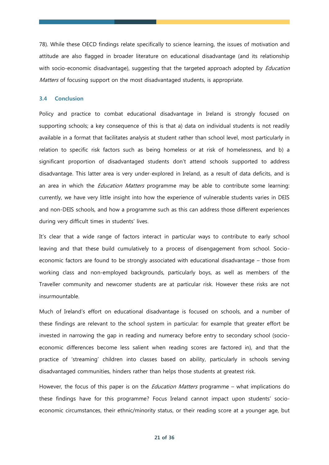78). While these OECD findings relate specifically to science learning, the issues of motivation and attitude are also flagged in broader literature on educational disadvantage (and its relationship with socio-economic disadvantage), suggesting that the targeted approach adopted by *Education* Matters of focusing support on the most disadvantaged students, is appropriate.

# **3.4 Conclusion**

Policy and practice to combat educational disadvantage in Ireland is strongly focused on supporting schools; a key consequence of this is that a) data on individual students is not readily available in a format that facilitates analysis at student rather than school level, most particularly in relation to specific risk factors such as being homeless or at risk of homelessness, and b) a significant proportion of disadvantaged students don't attend schools supported to address disadvantage. This latter area is very under-explored in Ireland, as a result of data deficits, and is an area in which the *Education Matters* programme may be able to contribute some learning: currently, we have very little insight into how the experience of vulnerable students varies in DEIS and non-DEIS schools, and how a programme such as this can address those different experiences during very difficult times in students' lives.

It's clear that a wide range of factors interact in particular ways to contribute to early school leaving and that these build cumulatively to a process of disengagement from school. Socioeconomic factors are found to be strongly associated with educational disadvantage – those from working class and non-employed backgrounds, particularly boys, as well as members of the Traveller community and newcomer students are at particular risk. However these risks are not insurmountable.

Much of Ireland's effort on educational disadvantage is focused on schools, and a number of these findings are relevant to the school system in particular: for example that greater effort be invested in narrowing the gap in reading and numeracy before entry to secondary school (socioeconomic differences become less salient when reading scores are factored in), and that the practice of 'streaming' children into classes based on ability, particularly in schools serving disadvantaged communities, hinders rather than helps those students at greatest risk.

However, the focus of this paper is on the *Education Matters* programme – what implications do these findings have for this programme? Focus Ireland cannot impact upon students' socioeconomic circumstances, their ethnic/minority status, or their reading score at a younger age, but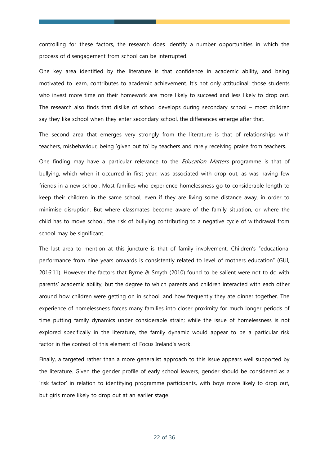controlling for these factors, the research does identify a number opportunities in which the process of disengagement from school can be interrupted.

One key area identified by the literature is that confidence in academic ability, and being motivated to learn, contributes to academic achievement. It's not only attitudinal: those students who invest more time on their homework are more likely to succeed and less likely to drop out. The research also finds that dislike of school develops during secondary school – most children say they like school when they enter secondary school, the differences emerge after that.

The second area that emerges very strongly from the literature is that of relationships with teachers, misbehaviour, being 'given out to' by teachers and rarely receiving praise from teachers.

One finding may have a particular relevance to the *Education Matters* programme is that of bullying, which when it occurred in first year, was associated with drop out, as was having few friends in a new school. Most families who experience homelessness go to considerable length to keep their children in the same school, even if they are living some distance away, in order to minimise disruption. But where classmates become aware of the family situation, or where the child has to move school, the risk of bullying contributing to a negative cycle of withdrawal from school may be significant.

The last area to mention at this juncture is that of family involvement. Children's "educational performance from nine years onwards is consistently related to level of mothers education" (GUI, 2016:11). However the factors that Byrne & Smyth (2010) found to be salient were not to do with parents' academic ability, but the degree to which parents and children interacted with each other around how children were getting on in school, and how frequently they ate dinner together. The experience of homelessness forces many families into closer proximity for much longer periods of time putting family dynamics under considerable strain; while the issue of homelessness is not explored specifically in the literature, the family dynamic would appear to be a particular risk factor in the context of this element of Focus Ireland's work.

Finally, a targeted rather than a more generalist approach to this issue appears well supported by the literature. Given the gender profile of early school leavers, gender should be considered as a 'risk factor' in relation to identifying programme participants, with boys more likely to drop out, but girls more likely to drop out at an earlier stage.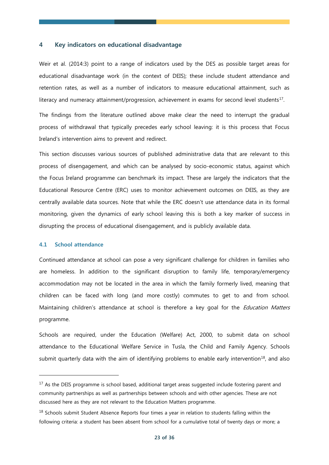#### **4 Key indicators on educational disadvantage**

Weir et al. (2014:3) point to a range of indicators used by the DES as possible target areas for educational disadvantage work (in the context of DEIS); these include student attendance and retention rates, as well as a number of indicators to measure educational attainment, such as literacy and numeracy attainment/progression, achievement in exams for second level students $^{17}$ .

The findings from the literature outlined above make clear the need to interrupt the gradual process of withdrawal that typically precedes early school leaving: it is this process that Focus Ireland's intervention aims to prevent and redirect.

This section discusses various sources of published administrative data that are relevant to this process of disengagement, and which can be analysed by socio-economic status, against which the Focus Ireland programme can benchmark its impact. These are largely the indicators that the Educational Resource Centre (ERC) uses to monitor achievement outcomes on DEIS, as they are centrally available data sources. Note that while the ERC doesn't use attendance data in its formal monitoring, given the dynamics of early school leaving this is both a key marker of success in disrupting the process of educational disengagement, and is publicly available data.

# **4.1 School attendance**

-

Continued attendance at school can pose a very significant challenge for children in families who are homeless. In addition to the significant disruption to family life, temporary/emergency accommodation may not be located in the area in which the family formerly lived, meaning that children can be faced with long (and more costly) commutes to get to and from school. Maintaining children's attendance at school is therefore a key goal for the *Education Matters* programme.

Schools are required, under the Education (Welfare) Act, 2000, to submit data on school attendance to the Educational Welfare Service in Tusla, the Child and Family Agency. Schools submit quarterly data with the aim of identifying problems to enable early intervention<sup>18</sup>, and also

<sup>&</sup>lt;sup>17</sup> As the DEIS programme is school based, additional target areas suggested include fostering parent and community partnerships as well as partnerships between schools and with other agencies. These are not discussed here as they are not relevant to the Education Matters programme.

<sup>&</sup>lt;sup>18</sup> Schools submit Student Absence Reports four times a year in relation to students falling within the following criteria: a student has been absent from school for a cumulative total of twenty days or more; a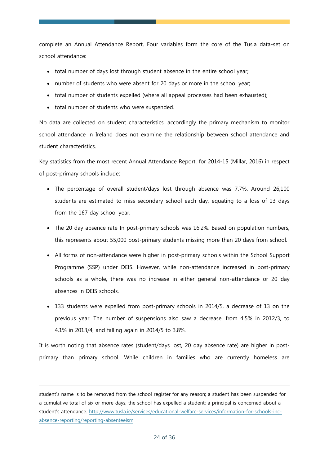complete an Annual Attendance Report. Four variables form the core of the Tusla data-set on school attendance:

- total number of days lost through student absence in the entire school year;
- number of students who were absent for 20 days or more in the school year;
- total number of students expelled (where all appeal processes had been exhausted);
- total number of students who were suspended.

-

No data are collected on student characteristics, accordingly the primary mechanism to monitor school attendance in Ireland does not examine the relationship between school attendance and student characteristics.

Key statistics from the most recent Annual Attendance Report, for 2014-15 (Millar, 2016) in respect of post-primary schools include:

- The percentage of overall student/days lost through absence was 7.7%. Around 26,100 students are estimated to miss secondary school each day, equating to a loss of 13 days from the 167 day school year.
- The 20 day absence rate In post-primary schools was 16.2%. Based on population numbers, this represents about 55,000 post-primary students missing more than 20 days from school.
- All forms of non-attendance were higher in post-primary schools within the School Support Programme (SSP) under DEIS. However, while non-attendance increased in post-primary schools as a whole, there was no increase in either general non-attendance or 20 day absences in DEIS schools.
- 133 students were expelled from post-primary schools in 2014/5, a decrease of 13 on the previous year. The number of suspensions also saw a decrease, from 4.5% in 2012/3, to 4.1% in 2013/4, and falling again in 2014/5 to 3.8%.

It is worth noting that absence rates (student/days lost, 20 day absence rate) are higher in postprimary than primary school. While children in families who are currently homeless are

student's name is to be removed from the school register for any reason; a student has been suspended for a cumulative total of six or more days; the school has expelled a student; a principal is concerned about a student's attendance. [http://www.tusla.ie/services/educational-welfare-services/information-for-schools-inc](http://www.tusla.ie/services/educational-welfare-services/information-for-schools-inc-absence-reporting/reporting-absenteeism)[absence-reporting/reporting-absenteeism](http://www.tusla.ie/services/educational-welfare-services/information-for-schools-inc-absence-reporting/reporting-absenteeism)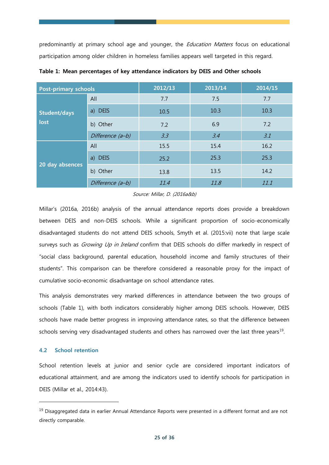predominantly at primary school age and younger, the *Education Matters* focus on educational participation among older children in homeless families appears well targeted in this regard.

| <b>Post-primary schools</b> |                  | 2012/13 | 2013/14 | 2014/15 |
|-----------------------------|------------------|---------|---------|---------|
| <b>Student/days</b><br>lost | All              | 7.7     | 7.5     | 7.7     |
|                             | a) DEIS          | 10.5    | 10.3    | 10.3    |
|                             | b) Other         | 7.2     | 6.9     | 7.2     |
|                             | Difference (a-b) | 3.3     | 3.4     | 3.1     |
| 20 day absences             | All              | 15.5    | 15.4    | 16.2    |
|                             | a) DEIS          | 25.2    | 25.3    | 25.3    |
|                             | b) Other         | 13.8    | 13.5    | 14.2    |
|                             | Difference (a-b) | 11.4    | 11.8    | 11.1    |

**Table 1: Mean percentages of key attendance indicators by DEIS and Other schools**

# Source: Millar, D. (2016a&b)

Millar's (2016a, 2016b) analysis of the annual attendance reports does provide a breakdown between DEIS and non-DEIS schools. While a significant proportion of socio-economically disadvantaged students do not attend DEIS schools, Smyth et al. (2015:vii) note that large scale surveys such as *Growing Up in Ireland* confirm that DEIS schools do differ markedly in respect of "social class background, parental education, household income and family structures of their students". This comparison can be therefore considered a reasonable proxy for the impact of cumulative socio-economic disadvantage on school attendance rates.

This analysis demonstrates very marked differences in attendance between the two groups of schools (Table 1), with both indicators considerably higher among DEIS schools. However, DEIS schools have made better progress in improving attendance rates, so that the difference between schools serving very disadvantaged students and others has narrowed over the last three years<sup>19</sup>.

# **4.2 School retention**

-

School retention levels at junior and senior cycle are considered important indicators of educational attainment, and are among the indicators used to identify schools for participation in DEIS (Millar et al., 2014:43).

<sup>&</sup>lt;sup>19</sup> Disaggregated data in earlier Annual Attendance Reports were presented in a different format and are not directly comparable.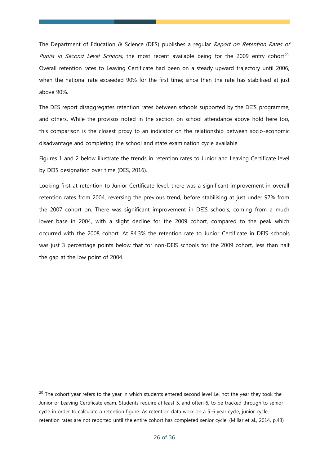The Department of Education & Science (DES) publishes a regular Report on Retention Rates of Pupils in Second Level Schools, the most recent available being for the 2009 entry cohort<sup>20</sup>. Overall retention rates to Leaving Certificate had been on a steady upward trajectory until 2006, when the national rate exceeded 90% for the first time; since then the rate has stabilised at just above 90%.

The DES report disaggregates retention rates between schools supported by the DEIS programme, and others. While the provisos noted in the section on school attendance above hold here too, this comparison is the closest proxy to an indicator on the relationship between socio-economic disadvantage and completing the school and state examination cycle available.

Figures 1 and 2 below illustrate the trends in retention rates to Junior and Leaving Certificate level by DEIS designation over time (DES, 2016).

Looking first at retention to Junior Certificate level, there was a significant improvement in overall retention rates from 2004, reversing the previous trend, before stabilising at just under 97% from the 2007 cohort on. There was significant improvement in DEIS schools, coming from a much lower base in 2004, with a slight decline for the 2009 cohort, compared to the peak which occurred with the 2008 cohort. At 94.3% the retention rate to Junior Certificate in DEIS schools was just 3 percentage points below that for non-DEIS schools for the 2009 cohort, less than half the gap at the low point of 2004.

<sup>&</sup>lt;sup>20</sup> The cohort year refers to the year in which students entered second level i.e. not the year they took the Junior or Leaving Certificate exam. Students require at least 5, and often 6, to be tracked through to senior cycle in order to calculate a retention figure. As retention data work on a 5-6 year cycle, junior cycle retention rates are not reported until the entire cohort has completed senior cycle. (Millar et al., 2014, p.43)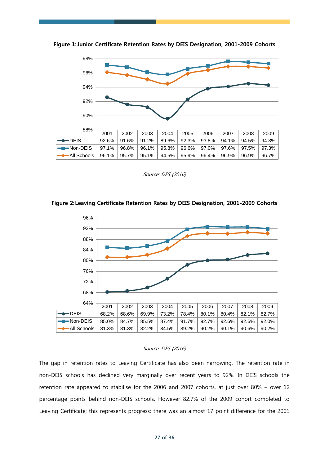

**Figure 1:Junior Certificate Retention Rates by DEIS Designation, 2001-2009 Cohorts** 

Source: DES (2016)





#### Source: DES (2016)

The gap in retention rates to Leaving Certificate has also been narrowing. The retention rate in non-DEIS schools has declined very marginally over recent years to 92%. In DEIS schools the retention rate appeared to stabilise for the 2006 and 2007 cohorts, at just over 80% – over 12 percentage points behind non-DEIS schools. However 82.7% of the 2009 cohort completed to Leaving Certificate; this represents progress: there was an almost 17 point difference for the 2001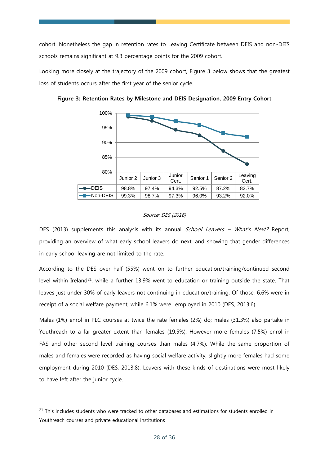cohort. Nonetheless the gap in retention rates to Leaving Certificate between DEIS and non-DEIS schools remains significant at 9.3 percentage points for the 2009 cohort.

Looking more closely at the trajectory of the 2009 cohort, Figure 3 below shows that the greatest loss of students occurs after the first year of the senior cycle.



**Figure 3: Retention Rates by Milestone and DEIS Designation, 2009 Entry Cohort**

# Source: DES (2016)

DES (2013) supplements this analysis with its annual *School Leavers – What's Next?* Report, providing an overview of what early school leavers do next, and showing that gender differences in early school leaving are not limited to the rate.

According to the DES over half (55%) went on to further education/training/continued second level within Ireland<sup>21</sup>, while a further 13.9% went to education or training outside the state. That leaves just under 30% of early leavers not continuing in education/training. Of those, 6.6% were in receipt of a social welfare payment, while 6.1% were employed in 2010 (DES, 2013:6) .

Males (1%) enrol in PLC courses at twice the rate females (2%) do; males (31.3%) also partake in Youthreach to a far greater extent than females (19.5%). However more females (7.5%) enrol in FÁS and other second level training courses than males (4.7%). While the same proportion of males and females were recorded as having social welfare activity, slightly more females had some employment during 2010 (DES, 2013:8). Leavers with these kinds of destinations were most likely to have left after the junior cycle.

 $21$  This includes students who were tracked to other databases and estimations for students enrolled in Youthreach courses and private educational institutions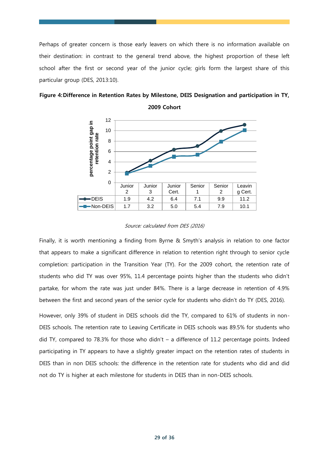Perhaps of greater concern is those early leavers on which there is no information available on their destination: in contrast to the general trend above, the highest proportion of these left school after the first or second year of the junior cycle; girls form the largest share of this particular group (DES, 2013:10).



# **Figure 4:Difference in Retention Rates by Milestone, DEIS Designation and participation in TY, 2009 Cohort**

#### Source: calculated from DES (2016)

Finally, it is worth mentioning a finding from Byrne & Smyth's analysis in relation to one factor that appears to make a significant difference in relation to retention right through to senior cycle completion: participation in the Transition Year (TY). For the 2009 cohort, the retention rate of students who did TY was over 95%, 11.4 percentage points higher than the students who didn't partake, for whom the rate was just under 84%. There is a large decrease in retention of 4.9% between the first and second years of the senior cycle for students who didn't do TY (DES, 2016).

However, only 39% of student in DEIS schools did the TY, compared to 61% of students in non-DEIS schools. The retention rate to Leaving Certificate in DEIS schools was 89.5% for students who did TY, compared to 78.3% for those who didn't – a difference of 11.2 percentage points. Indeed participating in TY appears to have a slightly greater impact on the retention rates of students in DEIS than in non DEIS schools: the difference in the retention rate for students who did and did not do TY is higher at each milestone for students in DEIS than in non-DEIS schools.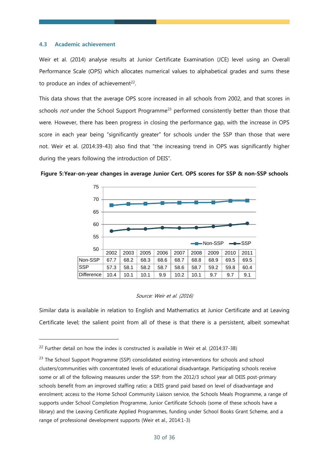# **4.3 Academic achievement**

-

Weir et al. (2014) analyse results at Junior Certificate Examination (JCE) level using an Overall Performance Scale (OPS) which allocates numerical values to alphabetical grades and sums these to produce an index of achievement $^{22}$ .

This data shows that the average OPS score increased in all schools from 2002, and that scores in schools *not* under the School Support Programme<sup>23</sup> performed consistently better than those that were. However, there has been progress in closing the performance gap, with the increase in OPS score in each year being "significantly greater" for schools under the SSP than those that were not. Weir et al. (2014:39-43) also find that "the increasing trend in OPS was significantly higher during the years following the introduction of DEIS".





#### Source: Weir et al. (2016)

Similar data is available in relation to English and Mathematics at Junior Certificate and at Leaving Certificate level; the salient point from all of these is that there is a persistent, albeit somewhat

<sup>&</sup>lt;sup>22</sup> Further detail on how the index is constructed is available in Weir et al. (2014:37-38)

<sup>&</sup>lt;sup>23</sup> The School Support Programme (SSP) consolidated existing interventions for schools and school clusters/communities with concentrated levels of educational disadvantage. Participating schools receive some or all of the following measures under the SSP: from the 2012/3 school year all DEIS post-primary schools benefit from an improved staffing ratio; a DEIS grand paid based on level of disadvantage and enrolment; access to the Home School Community Liaison service, the Schools Meals Programme, a range of supports under School Completion Programme, Junior Certificate Schools (some of these schools have a library) and the Leaving Certificate Applied Programmes, funding under School Books Grant Scheme, and a range of professional development supports (Weir et al., 2014:1-3)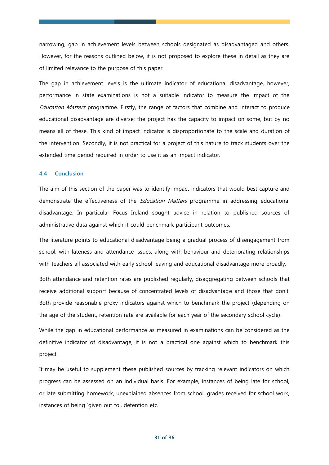narrowing, gap in achievement levels between schools designated as disadvantaged and others. However, for the reasons outlined below, it is not proposed to explore these in detail as they are of limited relevance to the purpose of this paper.

The gap in achievement levels is the ultimate indicator of educational disadvantage, however, performance in state examinations is not a suitable indicator to measure the impact of the Education Matters programme. Firstly, the range of factors that combine and interact to produce educational disadvantage are diverse; the project has the capacity to impact on some, but by no means all of these. This kind of impact indicator is disproportionate to the scale and duration of the intervention. Secondly, it is not practical for a project of this nature to track students over the extended time period required in order to use it as an impact indicator.

#### **4.4 Conclusion**

The aim of this section of the paper was to identify impact indicators that would best capture and demonstrate the effectiveness of the *Education Matters* programme in addressing educational disadvantage. In particular Focus Ireland sought advice in relation to published sources of administrative data against which it could benchmark participant outcomes.

The literature points to educational disadvantage being a gradual process of disengagement from school, with lateness and attendance issues, along with behaviour and deteriorating relationships with teachers all associated with early school leaving and educational disadvantage more broadly.

Both attendance and retention rates are published regularly, disaggregating between schools that receive additional support because of concentrated levels of disadvantage and those that don't. Both provide reasonable proxy indicators against which to benchmark the project (depending on the age of the student, retention rate are available for each year of the secondary school cycle).

While the gap in educational performance as measured in examinations can be considered as the definitive indicator of disadvantage, it is not a practical one against which to benchmark this project.

It may be useful to supplement these published sources by tracking relevant indicators on which progress can be assessed on an individual basis. For example, instances of being late for school, or late submitting homework, unexplained absences from school, grades received for school work, instances of being 'given out to', detention etc.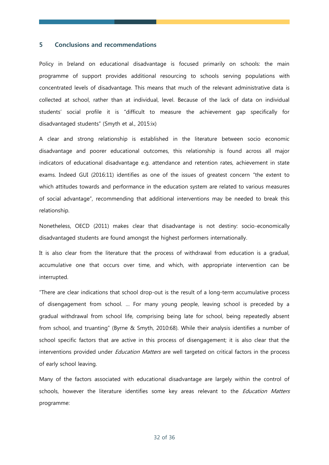# **5 Conclusions and recommendations**

Policy in Ireland on educational disadvantage is focused primarily on schools: the main programme of support provides additional resourcing to schools serving populations with concentrated levels of disadvantage. This means that much of the relevant administrative data is collected at school, rather than at individual, level. Because of the lack of data on individual students' social profile it is "difficult to measure the achievement gap specifically for disadvantaged students" (Smyth et al., 2015:ix)

A clear and strong relationship is established in the literature between socio economic disadvantage and poorer educational outcomes, this relationship is found across all major indicators of educational disadvantage e.g. attendance and retention rates, achievement in state exams. Indeed GUI (2016:11) identifies as one of the issues of greatest concern "the extent to which attitudes towards and performance in the education system are related to various measures of social advantage", recommending that additional interventions may be needed to break this relationship.

Nonetheless, OECD (2011) makes clear that disadvantage is not destiny: socio-economically disadvantaged students are found amongst the highest performers internationally.

It is also clear from the literature that the process of withdrawal from education is a gradual, accumulative one that occurs over time, and which, with appropriate intervention can be interrupted.

"There are clear indications that school drop-out is the result of a long-term accumulative process of disengagement from school. … For many young people, leaving school is preceded by a gradual withdrawal from school life, comprising being late for school, being repeatedly absent from school, and truanting" (Byrne & Smyth, 2010:68). While their analysis identifies a number of school specific factors that are active in this process of disengagement; it is also clear that the interventions provided under *Education Matters* are well targeted on critical factors in the process of early school leaving.

Many of the factors associated with educational disadvantage are largely within the control of schools, however the literature identifies some key areas relevant to the *Education Matters* programme: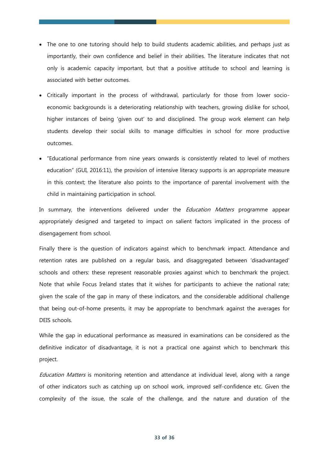- The one to one tutoring should help to build students academic abilities, and perhaps just as importantly, their own confidence and belief in their abilities. The literature indicates that not only is academic capacity important, but that a positive attitude to school and learning is associated with better outcomes.
- Critically important in the process of withdrawal, particularly for those from lower socioeconomic backgrounds is a deteriorating relationship with teachers, growing dislike for school, higher instances of being 'given out' to and disciplined. The group work element can help students develop their social skills to manage difficulties in school for more productive outcomes.
- "Educational performance from nine years onwards is consistently related to level of mothers education" (GUI, 2016:11), the provision of intensive literacy supports is an appropriate measure in this context; the literature also points to the importance of parental involvement with the child in maintaining participation in school.

In summary, the interventions delivered under the *Education Matters* programme appear appropriately designed and targeted to impact on salient factors implicated in the process of disengagement from school.

Finally there is the question of indicators against which to benchmark impact. Attendance and retention rates are published on a regular basis, and disaggregated between 'disadvantaged' schools and others: these represent reasonable proxies against which to benchmark the project. Note that while Focus Ireland states that it wishes for participants to achieve the national rate; given the scale of the gap in many of these indicators, and the considerable additional challenge that being out-of-home presents, it may be appropriate to benchmark against the averages for DEIS schools.

While the gap in educational performance as measured in examinations can be considered as the definitive indicator of disadvantage, it is not a practical one against which to benchmark this project.

Education Matters is monitoring retention and attendance at individual level, along with a range of other indicators such as catching up on school work, improved self-confidence etc. Given the complexity of the issue, the scale of the challenge, and the nature and duration of the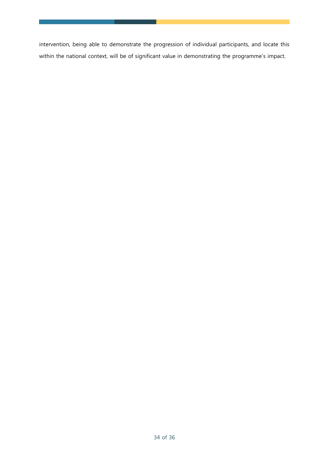intervention, being able to demonstrate the progression of individual participants, and locate this within the national context, will be of significant value in demonstrating the programme's impact.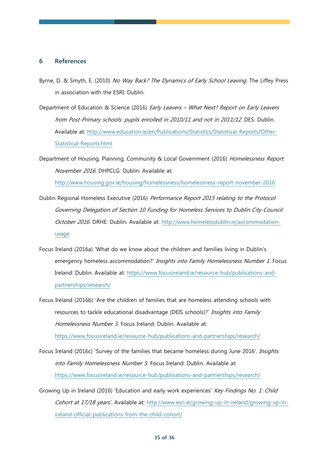# **6 References**

- Byrne, D. & Smyth, E. (2010) No Way Back? The Dynamics of Early School Leaving. The Liffey Press in association with the ESRI: Dublin.
- Department of Education & Science (2016) Early Leavers What Next? Report on Early Leavers from Post-Primary schools: pupils enrolled in 2010/11 and not in 2011/12. DES: Dublin. Available at: [http://www.education.ie/en/Publications/Statistics/Statistical-Reports/Other-](http://www.education.ie/en/Publications/Statistics/Statistical-Reports/Other-Statistical-Reports.html)[Statistical-Reports.html](http://www.education.ie/en/Publications/Statistics/Statistical-Reports/Other-Statistical-Reports.html)
- Department of Housing, Planning, Community & Local Government (2016) Homelessness Report: November 2016. DHPCLG: Dublin: Available at:

<http://www.housing.gov.ie/housing/homelessness/homelessness-report-november-2016>

- Dublin Regional Homeless Executive (2016) Performance Report 2015 relating to the Protocol Governing Delegation of Section 10 Funding for Homeless Services to Dublin City Council: October 2016. DRHE: Dublin. Available at: [http://www.homelessdublin.ie/accommodation](http://www.homelessdublin.ie/accommodation-usage)[usage](http://www.homelessdublin.ie/accommodation-usage)
- Focus Ireland (2016a) 'What do we know about the children and families living in Dublin's emergency homeless accommodation?' Insights into Family Homelessness Number 1. Focus Ireland: Dublin. Available at: [https://www.focusireland.ie/resource-hub/publications-and](https://www.focusireland.ie/resource-hub/publications-and-partnerships/research/)[partnerships/research/](https://www.focusireland.ie/resource-hub/publications-and-partnerships/research/)
- Focus Ireland (2016b) 'Are the children of families that are homeless attending schools with resources to tackle educational disadvantage (DEIS schools)?' Insights into Family Homelessness Number 3. Focus Ireland: Dublin. Available at: <https://www.focusireland.ie/resource-hub/publications-and-partnerships/research/>
- Focus Ireland (2016c) 'Survey of the families that became homeless during June 2016'. Insights into Family Homelessness Number 5. Focus Ireland: Dublin. Available at: <https://www.focusireland.ie/resource-hub/publications-and-partnerships/research/>
- Growing Up in Ireland (2016) 'Education and early work experiences' Key Findings No. 1: Child Cohort at 17/18 years'. Available at: [http://www.esri.ie/growing-up-in-ireland/growing-up-in](http://www.esri.ie/growing-up-in-ireland/growing-up-in-ireland-official-publications-from-the-child-cohort/)[ireland-official-publications-from-the-child-cohort/](http://www.esri.ie/growing-up-in-ireland/growing-up-in-ireland-official-publications-from-the-child-cohort/)